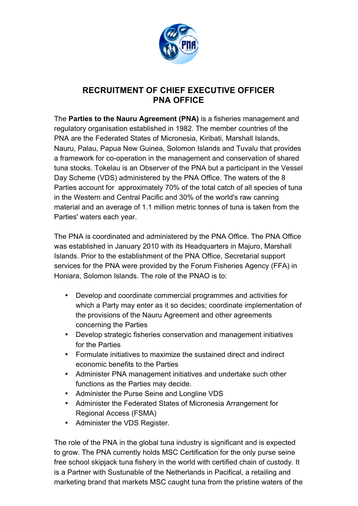

#### **RECRUITMENT OF CHIEF EXECUTIVE OFFICER PNA OFFICE**

The **Parties to the Nauru Agreement (PNA)** is a fisheries management and regulatory organisation established in 1982. The member countries of the PNA are the Federated States of Micronesia, Kiribati, Marshall Islands, Nauru, Palau, Papua New Guinea, Solomon Islands and Tuvalu that provides a framework for co-operation in the management and conservation of shared tuna stocks. Tokelau is an Observer of the PNA but a participant in the Vessel Day Scheme (VDS) administered by the PNA Office. The waters of the 8 Parties account for approximately 70% of the total catch of all species of tuna in the Western and Central Pacific and 30% of the world's raw canning material and an average of 1.1 million metric tonnes of tuna is taken from the Parties' waters each year.

The PNA is coordinated and administered by the PNA Office. The PNA Office was established in January 2010 with its Headquarters in Majuro, Marshall Islands. Prior to the establishment of the PNA Office, Secretarial support services for the PNA were provided by the Forum Fisheries Agency (FFA) in Honiara, Solomon Islands. The role of the PNAO is to:

- Develop and coordinate commercial programmes and activities for which a Party may enter as it so decides; coordinate implementation of the provisions of the Nauru Agreement and other agreements concerning the Parties
- Develop strategic fisheries conservation and management initiatives for the Parties
- Formulate initiatives to maximize the sustained direct and indirect economic benefits to the Parties
- Administer PNA management initiatives and undertake such other functions as the Parties may decide.
- Administer the Purse Seine and Longline VDS
- Administer the Federated States of Micronesia Arrangement for Regional Access (FSMA)
- Administer the VDS Register.

The role of the PNA in the global tuna industry is significant and is expected to grow. The PNA currently holds MSC Certification for the only purse seine free school skipjack tuna fishery in the world with certified chain of custody. It is a Partner with Sustunable of the Netherlands in Pacifical, a retailing and marketing brand that markets MSC caught tuna from the pristine waters of the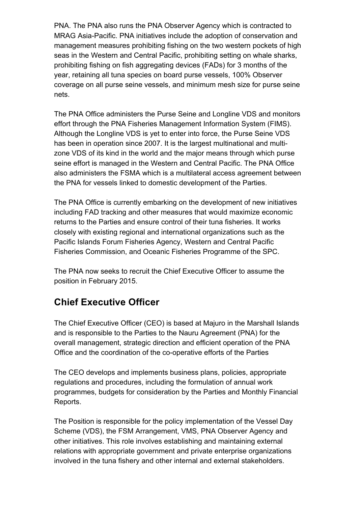PNA. The PNA also runs the PNA Observer Agency which is contracted to MRAG Asia-Pacific. PNA initiatives include the adoption of conservation and management measures prohibiting fishing on the two western pockets of high seas in the Western and Central Pacific, prohibiting setting on whale sharks, prohibiting fishing on fish aggregating devices (FADs) for 3 months of the year, retaining all tuna species on board purse vessels, 100% Observer coverage on all purse seine vessels, and minimum mesh size for purse seine nets.

The PNA Office administers the Purse Seine and Longline VDS and monitors effort through the PNA Fisheries Management Information System (FIMS). Although the Longline VDS is yet to enter into force, the Purse Seine VDS has been in operation since 2007. It is the largest multinational and multizone VDS of its kind in the world and the major means through which purse seine effort is managed in the Western and Central Pacific. The PNA Office also administers the FSMA which is a multilateral access agreement between the PNA for vessels linked to domestic development of the Parties.

The PNA Office is currently embarking on the development of new initiatives including FAD tracking and other measures that would maximize economic returns to the Parties and ensure control of their tuna fisheries. It works closely with existing regional and international organizations such as the Pacific Islands Forum Fisheries Agency, Western and Central Pacific Fisheries Commission, and Oceanic Fisheries Programme of the SPC.

The PNA now seeks to recruit the Chief Executive Officer to assume the position in February 2015.

# **Chief Executive Officer**

The Chief Executive Officer (CEO) is based at Majuro in the Marshall Islands and is responsible to the Parties to the Nauru Agreement (PNA) for the overall management, strategic direction and efficient operation of the PNA Office and the coordination of the co-operative efforts of the Parties

The CEO develops and implements business plans, policies, appropriate regulations and procedures, including the formulation of annual work programmes, budgets for consideration by the Parties and Monthly Financial Reports.

The Position is responsible for the policy implementation of the Vessel Day Scheme (VDS), the FSM Arrangement, VMS, PNA Observer Agency and other initiatives. This role involves establishing and maintaining external relations with appropriate government and private enterprise organizations involved in the tuna fishery and other internal and external stakeholders.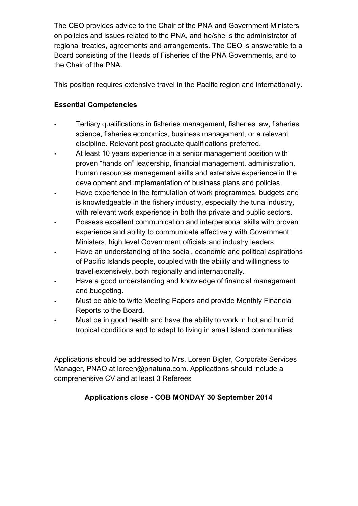The CEO provides advice to the Chair of the PNA and Government Ministers on policies and issues related to the PNA, and he/she is the administrator of regional treaties, agreements and arrangements. The CEO is answerable to a Board consisting of the Heads of Fisheries of the PNA Governments, and to the Chair of the PNA.

This position requires extensive travel in the Pacific region and internationally.

### **Essential Competencies**

- Tertiary qualifications in fisheries management, fisheries law, fisheries science, fisheries economics, business management, or a relevant discipline. Relevant post graduate qualifications preferred.
- At least 10 years experience in a senior management position with proven "hands on" leadership, financial management, administration, human resources management skills and extensive experience in the development and implementation of business plans and policies.
- Have experience in the formulation of work programmes, budgets and is knowledgeable in the fishery industry, especially the tuna industry, with relevant work experience in both the private and public sectors.
- Possess excellent communication and interpersonal skills with proven experience and ability to communicate effectively with Government Ministers, high level Government officials and industry leaders.
- Have an understanding of the social, economic and political aspirations of Pacific Islands people, coupled with the ability and willingness to travel extensively, both regionally and internationally.
- Have a good understanding and knowledge of financial management and budgeting.
- Must be able to write Meeting Papers and provide Monthly Financial Reports to the Board.
- Must be in good health and have the ability to work in hot and humid tropical conditions and to adapt to living in small island communities.

Applications should be addressed to Mrs. Loreen Bigler, Corporate Services Manager, PNAO at loreen@pnatuna.com. Applications should include a comprehensive CV and at least 3 Referees

## **Applications close - COB MONDAY 30 September 2014**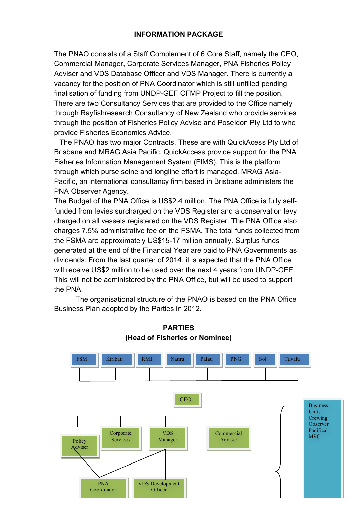#### **INFORMATION PACKAGE**

The PNAO consists of a Staff Complement of 6 Core Staff, namely the CEO, Commercial Manager, Corporate Services Manager, PNA Fisheries Policy Adviser and VDS Database Officer and VDS Manager. There is currently a vacancy for the position of PNA Coordinator which is still unfilled pending finalisation of funding from UNDP-GEF OFMP Project to fill the position. There are two Consultancy Services that are provided to the Office namely through Rayfishresearch Consultancy of New Zealand who provide services through the position of Fisheries Policy Advise and Poseidon Pty Ltd to who provide Fisheries Economics Advice.

The PNAO has two major Contracts. These are with QuickAcess Pty Ltd of Brisbane and MRAG Asia Pacific. QuickAccess provide support for the PNA Fisheries Information Management System (FIMS). This is the platform through which purse seine and longline effort is managed. MRAG Asia-Pacific, an international consultancy firm based in Brisbane administers the PNA Observer Agency.

The Budget of the PNA Office is US\$2.4 million. The PNA Office is fully selffunded from levies surcharged on the VDS Register and a conservation levy charged on all vessels registered on the VDS Register. The PNA Office also charges 7.5% administrative fee on the FSMA. The total funds collected from the FSMA are approximately US\$15-17 million annually. Surplus funds generated at the end of the Financial Year are paid to PNA Governments as dividends. From the last quarter of 2014, it is expected that the PNA Office will receive US\$2 million to be used over the next 4 years from UNDP-GEF. This will not be administered by the PNA Office, but will be used to support the PNA.

The organisational structure of the PNAO is based on the PNA Office Business Plan adopted by the Parties in 2012.



**PARTIES (Head of Fisheries or Nominee)**